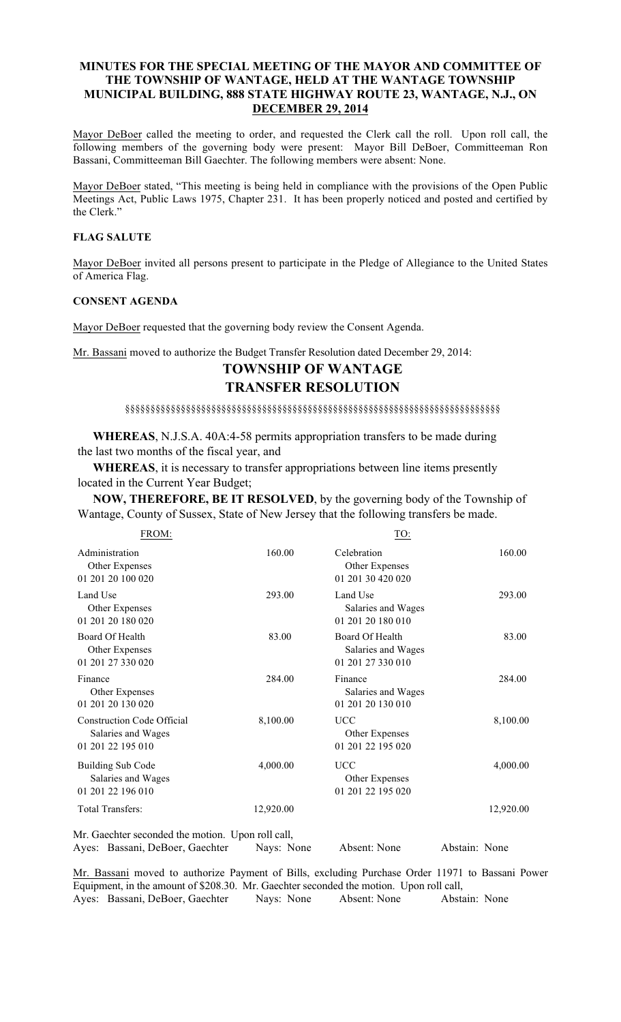# MINUTES FOR THE SPECIAL MEETING OF THE MAYOR AND COMMITTEE OF THE TOWNSHIP OF WANTAGE, HELD AT THE WANTAGE TOWNSHIP MUNICIPAL BUILDING, 888 STATE HIGHWAY ROUTE 23, WANTAGE, N.J., ON DECEMBER 29, 2014

Mayor DeBoer called the meeting to order, and requested the Clerk call the roll. Upon roll call, the following members of the governing body were present: Mayor Bill DeBoer, Committeeman Ron Bassani, Committeeman Bill Gaechter. The following members were absent: None.

Mayor DeBoer stated, "This meeting is being held in compliance with the provisions of the Open Public Meetings Act, Public Laws 1975, Chapter 231. It has been properly noticed and posted and certified by the Clerk."

### FLAG SALUTE

Mayor DeBoer invited all persons present to participate in the Pledge of Allegiance to the United States of America Flag.

#### CONSENT AGENDA

Mayor DeBoer requested that the governing body review the Consent Agenda.

Mr. Bassani moved to authorize the Budget Transfer Resolution dated December 29, 2014:

# TOWNSHIP OF WANTAGE TRANSFER RESOLUTION

§§§§§§§§§§§§§§§§§§§§§§§§§§§§§§§§§§§§§§§§§§§§§§§§§§§§§§§§§§§§§§§§§§§§§§§§§§

 WHEREAS, N.J.S.A. 40A:4-58 permits appropriation transfers to be made during the last two months of the fiscal year, and

 WHEREAS, it is necessary to transfer appropriations between line items presently located in the Current Year Budget;

 NOW, THEREFORE, BE IT RESOLVED, by the governing body of the Township of Wantage, County of Sussex, State of New Jersey that the following transfers be made.

| FROM:                                                                        |           | <u>TO:</u>                                                 |           |
|------------------------------------------------------------------------------|-----------|------------------------------------------------------------|-----------|
| Administration<br>Other Expenses<br>01 201 20 100 020                        | 160.00    | Celebration<br>Other Expenses<br>01 201 30 420 020         | 160.00    |
| Land Use<br>Other Expenses<br>01 201 20 180 020                              | 293.00    | Land Use<br>Salaries and Wages<br>01 201 20 180 010        | 293.00    |
| Board Of Health<br>Other Expenses<br>01 201 27 330 020                       | 83.00     | Board Of Health<br>Salaries and Wages<br>01 201 27 330 010 | 83.00     |
| Finance<br>Other Expenses<br>01 201 20 130 020                               | 284.00    | Finance<br>Salaries and Wages<br>01 201 20 130 010         | 284.00    |
| <b>Construction Code Official</b><br>Salaries and Wages<br>01 201 22 195 010 | 8,100.00  | <b>UCC</b><br>Other Expenses<br>01 201 22 195 020          | 8,100.00  |
| Building Sub Code<br>Salaries and Wages<br>01 201 22 196 010                 | 4,000.00  | <b>UCC</b><br>Other Expenses<br>01 201 22 195 020          | 4,000.00  |
| Total Transfers:                                                             | 12,920.00 |                                                            | 12,920.00 |
| Mr. Gaechter seconded the motion. Upon roll call,                            |           |                                                            |           |

Mr. Bassani moved to authorize Payment of Bills, excluding Purchase Order 11971 to Bassani Power Equipment, in the amount of \$208.30. Mr. Gaechter seconded the motion. Upon roll call, Ayes: Bassani, DeBoer, Gaechter Nays: None Absent: None Abstain: None

Ayes: Bassani, DeBoer, Gaechter Nays: None Absent: None Abstain: None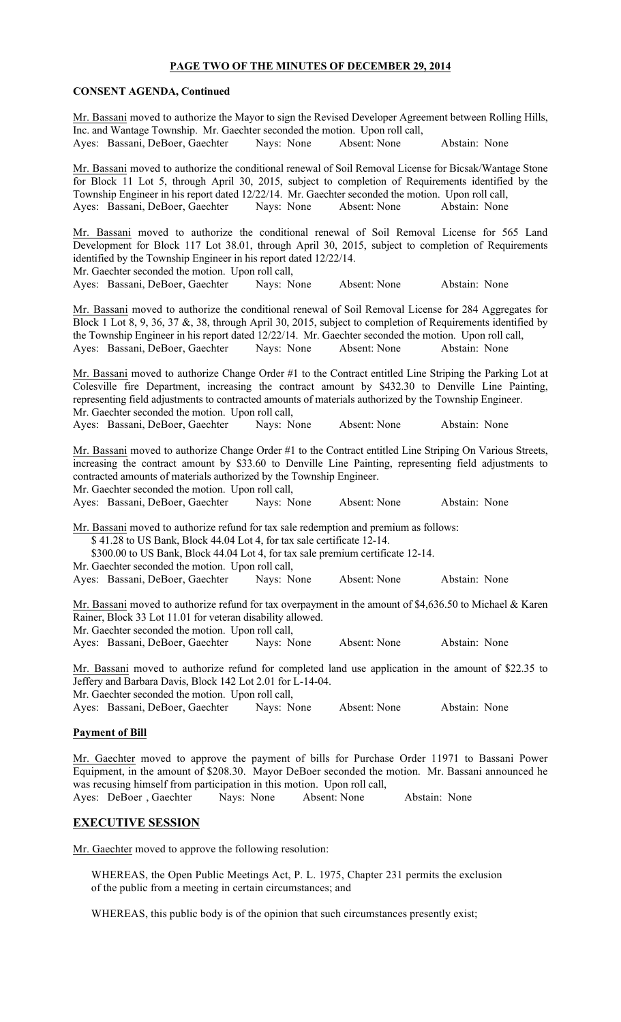#### PAGE TWO OF THE MINUTES OF DECEMBER 29, 2014

#### CONSENT AGENDA, Continued

Mr. Bassani moved to authorize the Mayor to sign the Revised Developer Agreement between Rolling Hills, Inc. and Wantage Township. Mr. Gaechter seconded the motion. Upon roll call, Ayes: Bassani, DeBoer, Gaechter Nays: None Absent: None Abstain: None Mr. Bassani moved to authorize the conditional renewal of Soil Removal License for Bicsak/Wantage Stone for Block 11 Lot 5, through April 30, 2015, subject to completion of Requirements identified by the Township Engineer in his report dated 12/22/14. Mr. Gaechter seconded the motion. Upon roll call, Ayes: Bassani, DeBoer, Gaechter Nays: None Absent: None Abstain: None Mr. Bassani moved to authorize the conditional renewal of Soil Removal License for 565 Land Development for Block 117 Lot 38.01, through April 30, 2015, subject to completion of Requirements identified by the Township Engineer in his report dated 12/22/14. Mr. Gaechter seconded the motion. Upon roll call, Ayes: Bassani, DeBoer, Gaechter Nays: None Absent: None Abstain: None Mr. Bassani moved to authorize the conditional renewal of Soil Removal License for 284 Aggregates for Block 1 Lot 8, 9, 36, 37 &, 38, through April 30, 2015, subject to completion of Requirements identified by the Township Engineer in his report dated 12/22/14. Mr. Gaechter seconded the motion. Upon roll call, Ayes: Bassani, DeBoer, Gaechter Nays: None Absent: None Abstain: None Mr. Bassani moved to authorize Change Order #1 to the Contract entitled Line Striping the Parking Lot at Colesville fire Department, increasing the contract amount by \$432.30 to Denville Line Painting, representing field adjustments to contracted amounts of materials authorized by the Township Engineer. Mr. Gaechter seconded the motion. Upon roll call, Ayes: Bassani, DeBoer, Gaechter Nays: None Absent: None Abstain: None Mr. Bassani moved to authorize Change Order #1 to the Contract entitled Line Striping On Various Streets, increasing the contract amount by \$33.60 to Denville Line Painting, representing field adjustments to contracted amounts of materials authorized by the Township Engineer. Mr. Gaechter seconded the motion. Upon roll call, Ayes: Bassani, DeBoer, Gaechter Nays: None Absent: None Abstain: None Mr. Bassani moved to authorize refund for tax sale redemption and premium as follows: \$ 41.28 to US Bank, Block 44.04 Lot 4, for tax sale certificate 12-14. \$300.00 to US Bank, Block 44.04 Lot 4, for tax sale premium certificate 12-14. Mr. Gaechter seconded the motion. Upon roll call, Ayes: Bassani, DeBoer, Gaechter Nays: None Absent: None Abstain: None Mr. Bassani moved to authorize refund for tax overpayment in the amount of \$4,636.50 to Michael & Karen Rainer, Block 33 Lot 11.01 for veteran disability allowed. Mr. Gaechter seconded the motion. Upon roll call, Ayes: Bassani, DeBoer, Gaechter Nays: None Absent: None Abstain: None Mr. Bassani moved to authorize refund for completed land use application in the amount of \$22.35 to Jeffery and Barbara Davis, Block 142 Lot 2.01 for L-14-04. Mr. Gaechter seconded the motion. Upon roll call, Ayes: Bassani, DeBoer, Gaechter Nays: None Absent: None Abstain: None

## Payment of Bill

Mr. Gaechter moved to approve the payment of bills for Purchase Order 11971 to Bassani Power Equipment, in the amount of \$208.30. Mayor DeBoer seconded the motion. Mr. Bassani announced he was recusing himself from participation in this motion. Upon roll call, Ayes: DeBoer , Gaechter Nays: None Absent: None Abstain: None

## EXECUTIVE SESSION

Mr. Gaechter moved to approve the following resolution:

WHEREAS, the Open Public Meetings Act, P. L. 1975, Chapter 231 permits the exclusion of the public from a meeting in certain circumstances; and

WHEREAS, this public body is of the opinion that such circumstances presently exist;